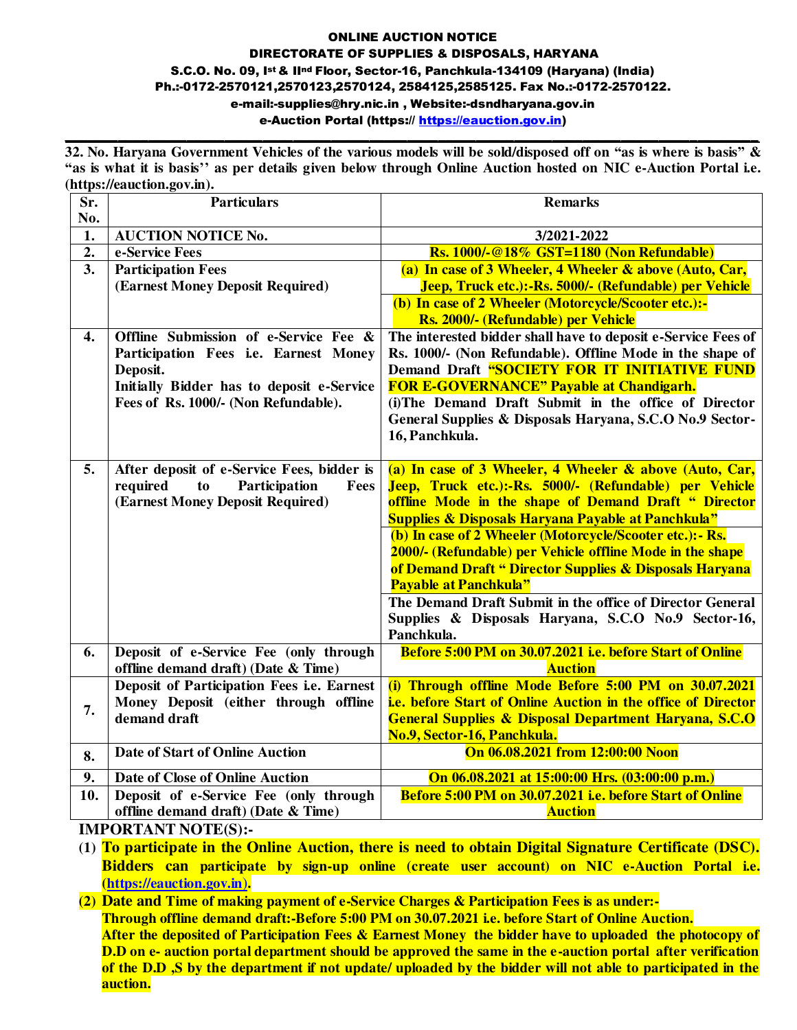#### ONLINE AUCTION NOTICE DIRECTORATE OF SUPPLIES & DISPOSALS, HARYANA S.C.O. No. 09, Ist & IInd Floor, Sector-16, Panchkula-134109 (Haryana) (India) Ph.:-0172-2570121,2570123,2570124, 2584125,2585125. Fax No.:-0172-2570122. e-mail:-supplies@hry.nic.in , Website:-dsndharyana.gov.in e-Auction Portal [\(https:// https://eauction.gov.in\)](https://haryanaeprocurement.gov.in/)

**32. No. Haryana Government Vehicles of the various models will be sold/disposed off on "as is where is basis" & "as is what it is basis'' as per details given below through Online Auction hosted on NIC e-Auction Portal i.e. [\(https://e](https://)auction.gov.in).**

**\_\_\_\_\_\_\_\_\_\_\_\_\_\_\_\_\_\_\_\_\_\_\_\_\_\_\_\_\_\_\_\_\_\_\_\_\_\_\_\_\_\_\_\_\_\_\_\_\_\_\_\_\_\_\_\_\_\_\_\_\_\_\_\_\_\_\_\_\_\_\_\_\_\_\_\_\_\_\_\_\_\_\_\_\_\_\_\_\_\_\_** 

| Sr.<br>No.       | <b>Particulars</b>                                                                                                                                                              | <b>Remarks</b>                                                                                                                                                                                                                                                                                                                                                       |  |  |  |  |  |  |
|------------------|---------------------------------------------------------------------------------------------------------------------------------------------------------------------------------|----------------------------------------------------------------------------------------------------------------------------------------------------------------------------------------------------------------------------------------------------------------------------------------------------------------------------------------------------------------------|--|--|--|--|--|--|
| 1.               | <b>AUCTION NOTICE No.</b>                                                                                                                                                       | 3/2021-2022                                                                                                                                                                                                                                                                                                                                                          |  |  |  |  |  |  |
| $\overline{2}$ . | e-Service Fees                                                                                                                                                                  | <b>Rs. 1000/-@18% GST=1180 (Non Refundable)</b>                                                                                                                                                                                                                                                                                                                      |  |  |  |  |  |  |
| 3.               | <b>Participation Fees</b>                                                                                                                                                       | (a) In case of 3 Wheeler, 4 Wheeler & above (Auto, Car,                                                                                                                                                                                                                                                                                                              |  |  |  |  |  |  |
|                  | (Earnest Money Deposit Required)                                                                                                                                                | Jeep, Truck etc.):-Rs. 5000/- (Refundable) per Vehicle                                                                                                                                                                                                                                                                                                               |  |  |  |  |  |  |
|                  |                                                                                                                                                                                 | (b) In case of 2 Wheeler (Motorcycle/Scooter etc.):-<br>Rs. 2000/- (Refundable) per Vehicle                                                                                                                                                                                                                                                                          |  |  |  |  |  |  |
| 4.               | Offline Submission of e-Service Fee &<br>Participation Fees i.e. Earnest Money<br>Deposit.<br>Initially Bidder has to deposit e-Service<br>Fees of Rs. 1000/- (Non Refundable). | The interested bidder shall have to deposit e-Service Fees of<br>Rs. 1000/- (Non Refundable). Offline Mode in the shape of<br>Demand Draft "SOCIETY FOR IT INITIATIVE FUND<br><b>FOR E-GOVERNANCE" Payable at Chandigarh.</b><br>(i) The Demand Draft Submit in the office of Director<br>General Supplies & Disposals Haryana, S.C.O No.9 Sector-<br>16, Panchkula. |  |  |  |  |  |  |
| 5.               | After deposit of e-Service Fees, bidder is<br>required<br>Participation<br>Fees<br>to<br>(Earnest Money Deposit Required)                                                       | (a) In case of 3 Wheeler, 4 Wheeler & above (Auto, Car,<br>Jeep, Truck etc.):-Rs. 5000/- (Refundable) per Vehicle<br>offline Mode in the shape of Demand Draft " Director<br><b>Supplies &amp; Disposals Haryana Payable at Panchkula"</b>                                                                                                                           |  |  |  |  |  |  |
|                  |                                                                                                                                                                                 | (b) In case of 2 Wheeler (Motorcycle/Scooter etc.): - Rs.<br>2000/- (Refundable) per Vehicle offline Mode in the shape<br>of Demand Draft " Director Supplies & Disposals Haryana<br><b>Payable at Panchkula"</b>                                                                                                                                                    |  |  |  |  |  |  |
|                  |                                                                                                                                                                                 | The Demand Draft Submit in the office of Director General<br>Supplies & Disposals Haryana, S.C.O No.9 Sector-16,<br>Panchkula.                                                                                                                                                                                                                                       |  |  |  |  |  |  |
| 6.               | Deposit of e-Service Fee (only through<br>offline demand draft) (Date & Time)                                                                                                   | Before 5:00 PM on 30.07.2021 i.e. before Start of Online<br><b>Auction</b>                                                                                                                                                                                                                                                                                           |  |  |  |  |  |  |
| 7.               | Deposit of Participation Fees i.e. Earnest<br>Money Deposit (either through offline<br>demand draft                                                                             | (i) Through offline Mode Before 5:00 PM on 30.07.2021<br><i>i.e.</i> before Start of Online Auction in the office of Director<br><b>General Supplies &amp; Disposal Department Haryana, S.C.O</b><br>No.9, Sector-16, Panchkula.                                                                                                                                     |  |  |  |  |  |  |
| 8.               | <b>Date of Start of Online Auction</b>                                                                                                                                          | On 06.08.2021 from 12:00:00 Noon                                                                                                                                                                                                                                                                                                                                     |  |  |  |  |  |  |
| 9.               | Date of Close of Online Auction                                                                                                                                                 | On 06.08.2021 at 15:00:00 Hrs. (03:00:00 p.m.)                                                                                                                                                                                                                                                                                                                       |  |  |  |  |  |  |
| 10.              | Deposit of e-Service Fee (only through<br>offline demand draft) (Date & Time)                                                                                                   | Before 5:00 PM on 30.07.2021 i.e. before Start of Online<br><b>Auction</b>                                                                                                                                                                                                                                                                                           |  |  |  |  |  |  |
|                  | <b>IMPORTANT NOTE(S).</b>                                                                                                                                                       |                                                                                                                                                                                                                                                                                                                                                                      |  |  |  |  |  |  |

**IMPORTANT NOTE(S):-** 

**(1) To participate in the Online Auction, there is need to obtain Digital Signature Certificate (DSC). Bidders can participate by sign-up online (create user account) on NIC e-Auction Portal i.e. [\(https://e](https://)auction.gov.in**)**.** 

**(2) Date and Time of making payment of e-Service Charges & Participation Fees is as under:- Through offline demand draft:-Before 5:00 PM on 30.07.2021 i.e. before Start of Online Auction. After the deposited of Participation Fees & Earnest Money the bidder have to uploaded the photocopy of D.D on e- auction portal department should be approved the same in the e-auction portal after verification of the D.D ,S by the department if not update/ uploaded by the bidder will not able to participated in the auction.**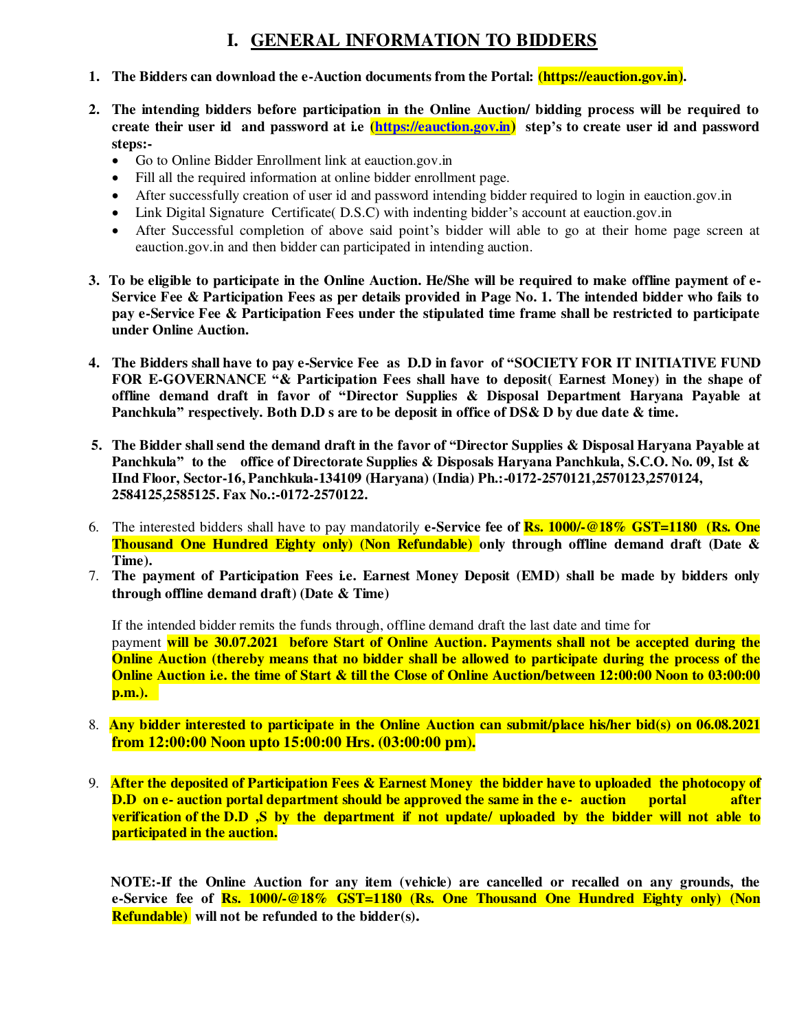#### **I. GENERAL INFORMATION TO BIDDERS**

- **1. The Bidders can download the e-Auction documents from the Portal: [\(https://e](https://)auction.gov.in).**
- **2. The intending bidders before participation in the Online Auction/ bidding process will be required to create their user id and password at i.e [\(https://eauction.gov.in](https://eauction.gov.in/)) step's to create user id and password steps:-** 
	- Go to Online Bidder Enrollment link at eauction.gov.in
	- Fill all the required information at online bidder enrollment page.
	- After successfully creation of user id and password intending bidder required to login in eauction.gov.in
	- Link Digital Signature Certificate (D.S.C) with indenting bidder's account at eauction.gov.in
	- After Successful completion of above said point's bidder will able to go at their home page screen at eauction.gov.in and then bidder can participated in intending auction.
- **3. To be eligible to participate in the Online Auction. He/She will be required to make offline payment of e-Service Fee & Participation Fees as per details provided in Page No. 1. The intended bidder who fails to pay e-Service Fee & Participation Fees under the stipulated time frame shall be restricted to participate under Online Auction.**
- **4. The Bidders shall have to pay e-Service Fee as D.D in favor of "SOCIETY FOR IT INITIATIVE FUND FOR E-GOVERNANCE "& Participation Fees shall have to deposit( Earnest Money) in the shape of offline demand draft in favor of "Director Supplies & Disposal Department Haryana Payable at Panchkula" respectively. Both D.D s are to be deposit in office of DS& D by due date & time.**
- **5. The Bidder shall send the demand draft in the favor of "Director Supplies & Disposal Haryana Payable at Panchkula" to the office of Directorate Supplies & Disposals Haryana Panchkula, S.C.O. No. 09, Ist & IInd Floor, Sector-16, Panchkula-134109 (Haryana) (India) Ph.:-0172-2570121,2570123,2570124, 2584125,2585125. Fax No.:-0172-2570122.**
- 6.The interested bidders shall have to pay mandatorily **e-Service fee of Rs. 1000/-@18% GST=1180 (Rs. One Thousand One Hundred Eighty only) (Non Refundable) only through offline demand draft (Date & Time).**
- 7. **The payment of Participation Fees i.e. Earnest Money Deposit (EMD) shall be made by bidders only through offline demand draft) (Date & Time)**

 If the intended bidder remits the funds through, offline demand draft the last date and time for payment **will be 30.07.2021 before Start of Online Auction. Payments shall not be accepted during the Online Auction (thereby means that no bidder shall be allowed to participate during the process of the Online Auction i.e. the time of Start & till the Close of Online Auction/between 12:00:00 Noon to 03:00:00 p.m.).** 

- 8. **Any bidder interested to participate in the Online Auction can submit/place his/her bid(s) on 06.08.2021 from 12:00:00 Noon upto 15:00:00 Hrs. (03:00:00 pm).**
- 9. **After the deposited of Participation Fees & Earnest Money the bidder have to uploaded the photocopy of D.D** on e- auction portal department should be approved the same in the e- auction portal after **verification of the D.D ,S by the department if not update/ uploaded by the bidder will not able to participated in the auction.**

 **NOTE:-If the Online Auction for any item (vehicle) are cancelled or recalled on any grounds, the e-Service fee of Rs. 1000/-@18% GST=1180 (Rs. One Thousand One Hundred Eighty only) (Non Refundable) will not be refunded to the bidder(s).**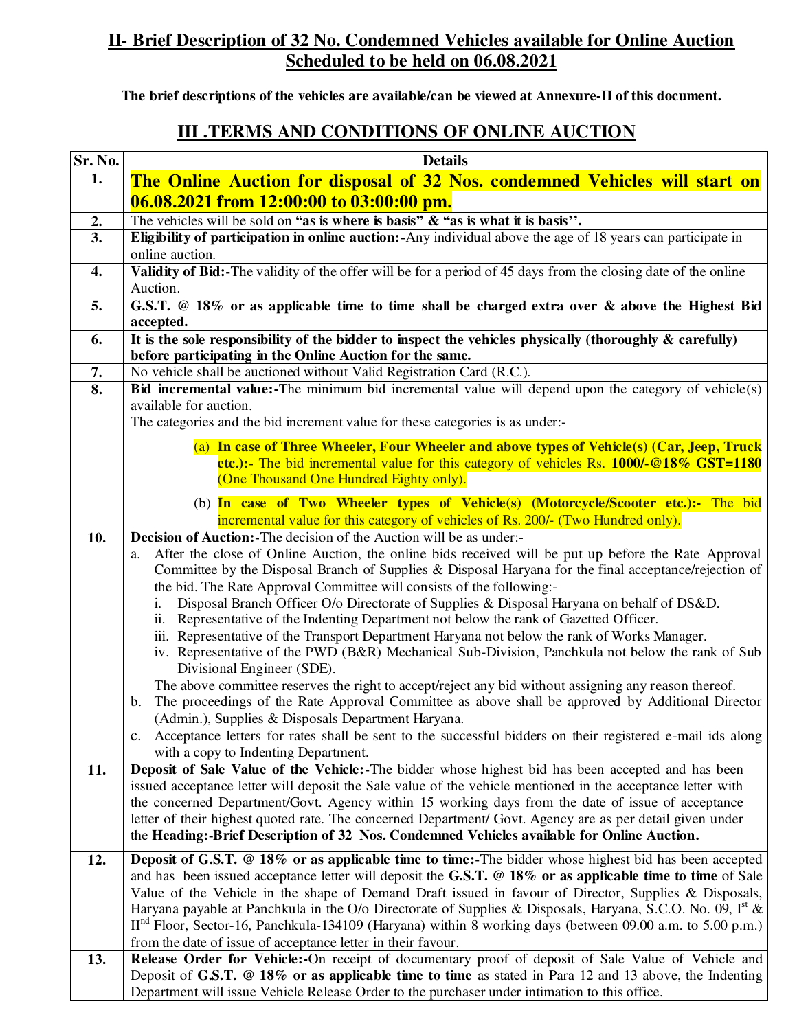# **II- Brief Description of 32 No. Condemned Vehicles available for Online Auction Scheduled to be held on 06.08.2021**

**The brief descriptions of the vehicles are available/can be viewed at Annexure-II of this document.** 

### **III .TERMS AND CONDITIONS OF ONLINE AUCTION**

| Sr. No.    | <b>Details</b>                                                                                                                                                                                                                                                                                                                                                                                                                                                                                                                                                                                                                                                                                                                                                                                                                                                                                                                                                                                                                                                                                                                                                                                                                                                                                                                                                                                                                                                                                                                                                                                                                                                                   |  |  |  |  |  |  |
|------------|----------------------------------------------------------------------------------------------------------------------------------------------------------------------------------------------------------------------------------------------------------------------------------------------------------------------------------------------------------------------------------------------------------------------------------------------------------------------------------------------------------------------------------------------------------------------------------------------------------------------------------------------------------------------------------------------------------------------------------------------------------------------------------------------------------------------------------------------------------------------------------------------------------------------------------------------------------------------------------------------------------------------------------------------------------------------------------------------------------------------------------------------------------------------------------------------------------------------------------------------------------------------------------------------------------------------------------------------------------------------------------------------------------------------------------------------------------------------------------------------------------------------------------------------------------------------------------------------------------------------------------------------------------------------------------|--|--|--|--|--|--|
| 1.         | The Online Auction for disposal of 32 Nos. condemned Vehicles will start on                                                                                                                                                                                                                                                                                                                                                                                                                                                                                                                                                                                                                                                                                                                                                                                                                                                                                                                                                                                                                                                                                                                                                                                                                                                                                                                                                                                                                                                                                                                                                                                                      |  |  |  |  |  |  |
|            | 06.08.2021 from 12:00:00 to 03:00:00 pm.                                                                                                                                                                                                                                                                                                                                                                                                                                                                                                                                                                                                                                                                                                                                                                                                                                                                                                                                                                                                                                                                                                                                                                                                                                                                                                                                                                                                                                                                                                                                                                                                                                         |  |  |  |  |  |  |
| 2.         | The vehicles will be sold on "as is where is basis" $\&$ "as is what it is basis".                                                                                                                                                                                                                                                                                                                                                                                                                                                                                                                                                                                                                                                                                                                                                                                                                                                                                                                                                                                                                                                                                                                                                                                                                                                                                                                                                                                                                                                                                                                                                                                               |  |  |  |  |  |  |
| 3.         | Eligibility of participation in online auction:-Any individual above the age of 18 years can participate in<br>online auction.                                                                                                                                                                                                                                                                                                                                                                                                                                                                                                                                                                                                                                                                                                                                                                                                                                                                                                                                                                                                                                                                                                                                                                                                                                                                                                                                                                                                                                                                                                                                                   |  |  |  |  |  |  |
| 4.         | Validity of Bid:-The validity of the offer will be for a period of 45 days from the closing date of the online<br>Auction.                                                                                                                                                                                                                                                                                                                                                                                                                                                                                                                                                                                                                                                                                                                                                                                                                                                                                                                                                                                                                                                                                                                                                                                                                                                                                                                                                                                                                                                                                                                                                       |  |  |  |  |  |  |
| 5.         | G.S.T. @ 18% or as applicable time to time shall be charged extra over & above the Highest Bid<br>accepted.                                                                                                                                                                                                                                                                                                                                                                                                                                                                                                                                                                                                                                                                                                                                                                                                                                                                                                                                                                                                                                                                                                                                                                                                                                                                                                                                                                                                                                                                                                                                                                      |  |  |  |  |  |  |
| 6.         | It is the sole responsibility of the bidder to inspect the vehicles physically (thoroughly $\&$ carefully)<br>before participating in the Online Auction for the same.                                                                                                                                                                                                                                                                                                                                                                                                                                                                                                                                                                                                                                                                                                                                                                                                                                                                                                                                                                                                                                                                                                                                                                                                                                                                                                                                                                                                                                                                                                           |  |  |  |  |  |  |
| 7.         | No vehicle shall be auctioned without Valid Registration Card (R.C.).                                                                                                                                                                                                                                                                                                                                                                                                                                                                                                                                                                                                                                                                                                                                                                                                                                                                                                                                                                                                                                                                                                                                                                                                                                                                                                                                                                                                                                                                                                                                                                                                            |  |  |  |  |  |  |
| 8.         | Bid incremental value:-The minimum bid incremental value will depend upon the category of vehicle(s)<br>available for auction.                                                                                                                                                                                                                                                                                                                                                                                                                                                                                                                                                                                                                                                                                                                                                                                                                                                                                                                                                                                                                                                                                                                                                                                                                                                                                                                                                                                                                                                                                                                                                   |  |  |  |  |  |  |
|            | The categories and the bid increment value for these categories is as under:-                                                                                                                                                                                                                                                                                                                                                                                                                                                                                                                                                                                                                                                                                                                                                                                                                                                                                                                                                                                                                                                                                                                                                                                                                                                                                                                                                                                                                                                                                                                                                                                                    |  |  |  |  |  |  |
|            | (a) In case of Three Wheeler, Four Wheeler and above types of Vehicle(s) (Car, Jeep, Truck<br>etc.):- The bid incremental value for this category of vehicles Rs. 1000/-@18% GST=1180<br>(One Thousand One Hundred Eighty only).                                                                                                                                                                                                                                                                                                                                                                                                                                                                                                                                                                                                                                                                                                                                                                                                                                                                                                                                                                                                                                                                                                                                                                                                                                                                                                                                                                                                                                                 |  |  |  |  |  |  |
|            | (b) In case of Two Wheeler types of Vehicle(s) (Motorcycle/Scooter etc.):- The bid<br>incremental value for this category of vehicles of Rs. 200/- (Two Hundred only).                                                                                                                                                                                                                                                                                                                                                                                                                                                                                                                                                                                                                                                                                                                                                                                                                                                                                                                                                                                                                                                                                                                                                                                                                                                                                                                                                                                                                                                                                                           |  |  |  |  |  |  |
| 10.<br>11. | <b>Decision of Auction:</b> -The decision of the Auction will be as under:-<br>After the close of Online Auction, the online bids received will be put up before the Rate Approval<br>a.<br>Committee by the Disposal Branch of Supplies & Disposal Haryana for the final acceptance/rejection of<br>the bid. The Rate Approval Committee will consists of the following:-<br>Disposal Branch Officer O/o Directorate of Supplies & Disposal Haryana on behalf of DS&D.<br>i.<br>ii. Representative of the Indenting Department not below the rank of Gazetted Officer.<br>iii. Representative of the Transport Department Haryana not below the rank of Works Manager.<br>iv. Representative of the PWD (B&R) Mechanical Sub-Division, Panchkula not below the rank of Sub<br>Divisional Engineer (SDE).<br>The above committee reserves the right to accept/reject any bid without assigning any reason thereof.<br>The proceedings of the Rate Approval Committee as above shall be approved by Additional Director<br>b.<br>(Admin.), Supplies & Disposals Department Haryana.<br>c. Acceptance letters for rates shall be sent to the successful bidders on their registered e-mail ids along<br>with a copy to Indenting Department.<br>Deposit of Sale Value of the Vehicle:-The bidder whose highest bid has been accepted and has been<br>issued acceptance letter will deposit the Sale value of the vehicle mentioned in the acceptance letter with<br>the concerned Department/Govt. Agency within 15 working days from the date of issue of acceptance<br>letter of their highest quoted rate. The concerned Department/ Govt. Agency are as per detail given under |  |  |  |  |  |  |
| 12.        | the Heading:-Brief Description of 32 Nos. Condemned Vehicles available for Online Auction.<br><b>Deposit of G.S.T.</b> @ 18% or as applicable time to time:-The bidder whose highest bid has been accepted                                                                                                                                                                                                                                                                                                                                                                                                                                                                                                                                                                                                                                                                                                                                                                                                                                                                                                                                                                                                                                                                                                                                                                                                                                                                                                                                                                                                                                                                       |  |  |  |  |  |  |
|            | and has been issued acceptance letter will deposit the G.S.T. @ 18% or as applicable time to time of Sale<br>Value of the Vehicle in the shape of Demand Draft issued in favour of Director, Supplies & Disposals,<br>Haryana payable at Panchkula in the O/o Directorate of Supplies & Disposals, Haryana, S.C.O. No. 09, $Ist$ &<br>$IInd$ Floor, Sector-16, Panchkula-134109 (Haryana) within 8 working days (between 09.00 a.m. to 5.00 p.m.)<br>from the date of issue of acceptance letter in their favour.                                                                                                                                                                                                                                                                                                                                                                                                                                                                                                                                                                                                                                                                                                                                                                                                                                                                                                                                                                                                                                                                                                                                                                |  |  |  |  |  |  |
| 13.        | Release Order for Vehicle:-On receipt of documentary proof of deposit of Sale Value of Vehicle and<br>Deposit of G.S.T. @ 18% or as applicable time to time as stated in Para 12 and 13 above, the Indenting<br>Department will issue Vehicle Release Order to the purchaser under intimation to this office.                                                                                                                                                                                                                                                                                                                                                                                                                                                                                                                                                                                                                                                                                                                                                                                                                                                                                                                                                                                                                                                                                                                                                                                                                                                                                                                                                                    |  |  |  |  |  |  |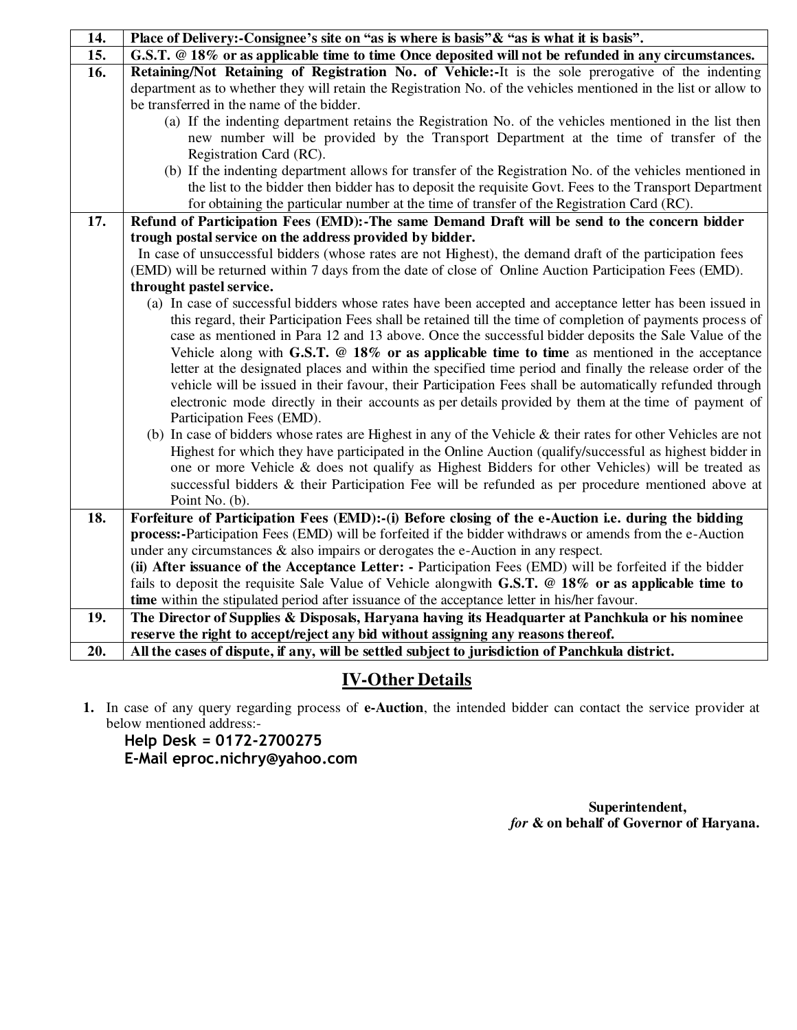| 14. | Place of Delivery:-Consignee's site on "as is where is basis" & "as is what it is basis".                                                                                                                               |  |  |  |  |  |
|-----|-------------------------------------------------------------------------------------------------------------------------------------------------------------------------------------------------------------------------|--|--|--|--|--|
| 15. | G.S.T. @ 18% or as applicable time to time Once deposited will not be refunded in any circumstances.                                                                                                                    |  |  |  |  |  |
| 16. | Retaining/Not Retaining of Registration No. of Vehicle:-It is the sole prerogative of the indenting                                                                                                                     |  |  |  |  |  |
|     | department as to whether they will retain the Registration No. of the vehicles mentioned in the list or allow to                                                                                                        |  |  |  |  |  |
|     | be transferred in the name of the bidder.                                                                                                                                                                               |  |  |  |  |  |
|     | (a) If the indenting department retains the Registration No. of the vehicles mentioned in the list then                                                                                                                 |  |  |  |  |  |
|     | new number will be provided by the Transport Department at the time of transfer of the                                                                                                                                  |  |  |  |  |  |
|     | Registration Card (RC).                                                                                                                                                                                                 |  |  |  |  |  |
|     | (b) If the indenting department allows for transfer of the Registration No. of the vehicles mentioned in                                                                                                                |  |  |  |  |  |
|     | the list to the bidder then bidder has to deposit the requisite Govt. Fees to the Transport Department                                                                                                                  |  |  |  |  |  |
|     | for obtaining the particular number at the time of transfer of the Registration Card (RC).                                                                                                                              |  |  |  |  |  |
| 17. | Refund of Participation Fees (EMD):-The same Demand Draft will be send to the concern bidder                                                                                                                            |  |  |  |  |  |
|     | trough postal service on the address provided by bidder.                                                                                                                                                                |  |  |  |  |  |
|     | In case of unsuccessful bidders (whose rates are not Highest), the demand draft of the participation fees                                                                                                               |  |  |  |  |  |
|     | (EMD) will be returned within 7 days from the date of close of Online Auction Participation Fees (EMD).                                                                                                                 |  |  |  |  |  |
|     | throught pastel service.                                                                                                                                                                                                |  |  |  |  |  |
|     | (a) In case of successful bidders whose rates have been accepted and acceptance letter has been issued in<br>this regard, their Participation Fees shall be retained till the time of completion of payments process of |  |  |  |  |  |
|     | case as mentioned in Para 12 and 13 above. Once the successful bidder deposits the Sale Value of the                                                                                                                    |  |  |  |  |  |
|     | Vehicle along with G.S.T. $@18\%$ or as applicable time to time as mentioned in the acceptance                                                                                                                          |  |  |  |  |  |
|     | letter at the designated places and within the specified time period and finally the release order of the                                                                                                               |  |  |  |  |  |
|     | vehicle will be issued in their favour, their Participation Fees shall be automatically refunded through                                                                                                                |  |  |  |  |  |
|     | electronic mode directly in their accounts as per details provided by them at the time of payment of                                                                                                                    |  |  |  |  |  |
|     | Participation Fees (EMD).                                                                                                                                                                                               |  |  |  |  |  |
|     | (b) In case of bidders whose rates are Highest in any of the Vehicle $\&$ their rates for other Vehicles are not                                                                                                        |  |  |  |  |  |
|     | Highest for which they have participated in the Online Auction (qualify/successful as highest bidder in                                                                                                                 |  |  |  |  |  |
|     | one or more Vehicle & does not qualify as Highest Bidders for other Vehicles) will be treated as                                                                                                                        |  |  |  |  |  |
|     | successful bidders & their Participation Fee will be refunded as per procedure mentioned above at                                                                                                                       |  |  |  |  |  |
|     | Point No. (b).                                                                                                                                                                                                          |  |  |  |  |  |
| 18. | Forfeiture of Participation Fees (EMD):-(i) Before closing of the e-Auction i.e. during the bidding                                                                                                                     |  |  |  |  |  |
|     | process:-Participation Fees (EMD) will be forfeited if the bidder withdraws or amends from the e-Auction                                                                                                                |  |  |  |  |  |
|     | under any circumstances $\&$ also impairs or derogates the e-Auction in any respect.                                                                                                                                    |  |  |  |  |  |
|     | (ii) After issuance of the Acceptance Letter: - Participation Fees (EMD) will be forfeited if the bidder                                                                                                                |  |  |  |  |  |
|     | fails to deposit the requisite Sale Value of Vehicle alongwith G.S.T. @ 18% or as applicable time to                                                                                                                    |  |  |  |  |  |
|     | time within the stipulated period after issuance of the acceptance letter in his/her favour.                                                                                                                            |  |  |  |  |  |
| 19. | The Director of Supplies & Disposals, Haryana having its Headquarter at Panchkula or his nominee                                                                                                                        |  |  |  |  |  |
|     | reserve the right to accept/reject any bid without assigning any reasons thereof.                                                                                                                                       |  |  |  |  |  |
| 20. | All the cases of dispute, if any, will be settled subject to jurisdiction of Panchkula district.                                                                                                                        |  |  |  |  |  |

# **IV-Other Details**

**1.** In case of any query regarding process of **e-Auction**, the intended bidder can contact the service provider at below mentioned address:-

**Help Desk = 0172-2700275 E-Mail eproc.nichry@yahoo.com**

> **Superintendent,** *for* **& on behalf of Governor of Haryana.**